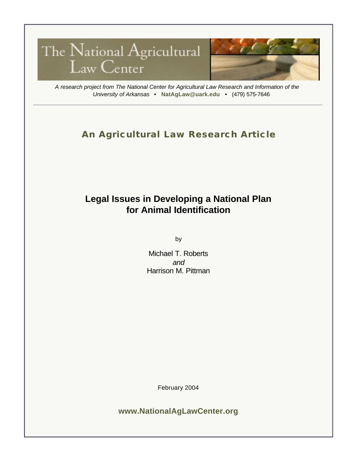

*A research project from The National Center for Agricultural Law Research and Information of the University of Arkansas •* **NatAgLaw@uark.edu** • (479) 575-7646

# **An Agricultural Law Research Article**

# **Legal Issues in Developing a National Plan for Animal Identification**

by

Michael T. Roberts *and*  Harrison M. Pittman

February 2004

**www.NationalAgLawCenter.org**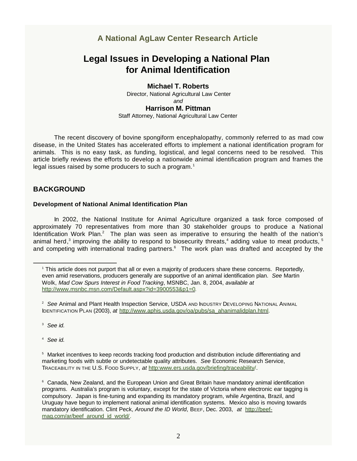## **A National AgLaw Center Research Article**

## **Legal Issues in Developing a National Plan for Animal Identification**

#### **Michael T. Roberts**

Director, National Agricultural Law Center *and*  **Harrison M. Pittman**  Staff Attorney, National Agricultural Law Center

The recent discovery of bovine spongiform encephalopathy, commonly referred to as mad cow disease, in the United States has accelerated efforts to implement a national identification program for animals. This is no easy task, as funding, logistical, and legal concerns need to be resolved. This article briefly reviews the efforts to develop a nationwide animal identification program and frames the legal issues raised by some producers to such a program. $<sup>1</sup>$ </sup>

## **BACKGROUND**

### **Development of National Animal Identification Plan**

In 2002, the National Institute for Animal Agriculture organized a task force composed of approximately 70 representatives from more than 30 stakeholder groups to produce a National Identification Work Plan.<sup>2</sup> The plan was seen as imperative to ensuring the health of the nation's animal herd,<sup>3</sup> improving the ability to respond to biosecurity threats,<sup>4</sup> adding value to meat products, <sup>5</sup> and competing with international trading partners. $6$  The work plan was drafted and accepted by the

<sup>3</sup>*See id.* 

<sup>4</sup>*See id.* 

<sup>1</sup> This article does not purport that all or even a majority of producers share these concerns. Reportedly, even amid reservations, producers generally are supportive of an animal identification plan. *See* Martin Wolk, *Mad Cow Spurs Interest in Food Tracking*, MSNBC, Jan. 8, 2004, *available at*  <http://www.msnbc.msn.com/Default.aspx?id=3900553&p1=0.>

<sup>2</sup>*See* Animal and Plant Health Inspection Service, USDA AND INDUSTRY DEVELOPING NATIONAL ANIMAL IDENTIFICATION PLAN (2003), *at* [http://www.aphis.usda.gov/oa/pubs/sa\\_ahanimalidplan.html.](http://www.aphis.usda.gov/oa/pubs/sa_ahanimalidplan.html)

<sup>&</sup>lt;sup>5</sup> Market incentives to keep records tracking food production and distribution include differentiating and marketing foods with subtle or undetectable quality attributes. *See* Economic Research Service, TRACEABILITY IN THE U.S. FOOD SUPPLY, *at* [http:www.ers.usda.gov/briefing/traceability/.](http:www.ers.usda.gov/briefing/traceability/)

<sup>6</sup> Canada, New Zealand, and the European Union and Great Britain have mandatory animal identification programs. Australia's program is voluntary, except for the state of Victoria where electronic ear tagging is compulsory. Japan is fine-tuning and expanding its mandatory program, while Argentina, Brazil, and Uruguay have begun to implement national animal identification systems. Mexico also is moving towards [mandatory identification. Clint Peck,](http://beef-mag.com/ar/beef_around_id_world/) *Around the ID World*, BEEF, Dec. 2003, *at* http://beefmag.com/ar/beef\_around\_id\_world/.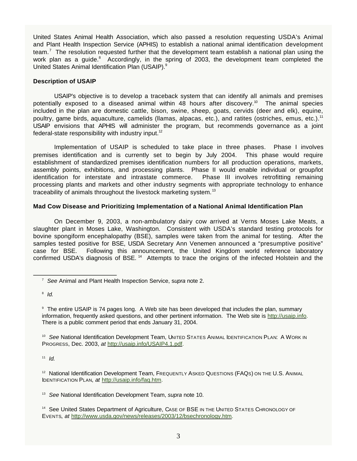United States Animal Health Association, which also passed a resolution requesting USDA's Animal and Plant Health Inspection Service (APHIS) to establish a national animal identification development team.<sup>7</sup> The resolution requested further that the development team establish a national plan using the work plan as a guide. $8$  Accordingly, in the spring of 2003, the development team completed the United States Animal Identification Plan (USAIP).<sup>9</sup>

#### **Description of USAIP**

USAIP's objective is to develop a traceback system that can identify all animals and premises potentially exposed to a diseased animal within 48 hours after discovery.<sup>10</sup> The animal species included in the plan are domestic cattle, bison, swine, sheep, goats, cervids (deer and elk), equine, poultry, game birds, aquaculture, camelids (llamas, alpacas, etc.), and ratites (ostriches, emus, etc.).<sup>11</sup> USAIP envisions that APHIS will administer the program, but recommends governance as a joint federal-state responsibility with industry input.<sup>12</sup>

Implementation of USAIP is scheduled to take place in three phases. Phase I involves premises identification and is currently set to begin by July 2004. This phase would require establishment of standardized premises identification numbers for all production operations, markets, assembly points, exhibitions, and processing plants. Phase II would enable individual or group/lot identification for interstate and intrastate commerce. Phase III involves retrofitting remaining processing plants and markets and other industry segments with appropriate technology to enhance traceability of animals throughout the livestock marketing system.<sup>13</sup>

#### **Mad Cow Disease and Prioritizing Implementation of a National Animal Identification Plan**

On December 9, 2003, a non-ambulatory dairy cow arrived at Verns Moses Lake Meats, a slaughter plant in Moses Lake, Washington. Consistent with USDA's standard testing protocols for bovine spongiform encephalopathy (BSE), samples were taken from the animal for testing. After the samples tested positive for BSE, USDA Secretary Ann Venemen announced a "presumptive positive" case for BSE. Following this announcement, the United Kingdom world reference laboratory confirmed USDA's diagnosis of BSE.<sup>14</sup> Attempts to trace the origins of the infected Holstein and the

<sup>8</sup>*Id.* 

<sup>9</sup> The entire USAIP is 74 pages long. A Web site has been developed that includes the plan, summary information, frequently asked questions, and other pertinent information. The Web site is [http://usaip.info.](http://usaip.info) There is a public comment period that ends January 31, 2004.

<sup>10</sup> See National Identification Development Team, UNITED STATES ANIMAL IDENTIFICATION PLAN: A WORK IN PROGRESS, Dec. 2003, *at* [http://usaip.info/USAIP4.1.pdf.](http://usaip.info/USAIP4.1.pdf)

 $11$  *Id.* 

<sup>12</sup> National Identification Development Team, FREQUENTLY ASKED QUESTIONS (FAQS) ON THE U.S. ANIMAL IDENTIFICATION PLAN, *at* [http://usaip.info/faq.htm.](http://usaip.info/faq.htm)

<sup>13</sup>*See* National Identification Development Team, *supra* note 10.

<sup>14</sup> See United States Department of Agriculture, CASE OF BSE IN THE UNITED STATES CHRONOLOGY OF EVENTS, *at* [http://www.usda.gov/news/releases/2003/12/bsechronology.htm.](http://www.usda.gov/news/releases/2003/12/bsechronology.htm)

<sup>7</sup>*See* Animal and Plant Health Inspection Service, s*upra* note 2.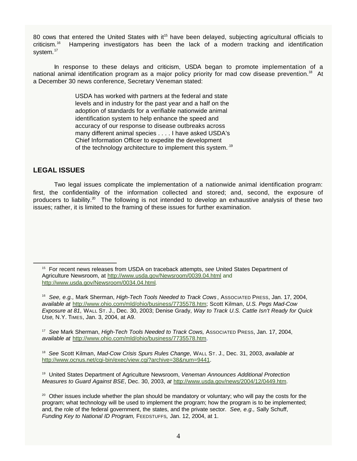80 cows that entered the United States with  $it^{15}$  have been delayed, subjecting agricultural officials to criticism.16 Hampering investigators has been the lack of a modern tracking and identification system.<sup>17</sup>

In response to these delays and criticism, USDA began to promote implementation of a national animal identification program as a major policy priority for mad cow disease prevention.<sup>18</sup> At a December 30 news conference, Secretary Veneman stated:

> USDA has worked with partners at the federal and state levels and in industry for the past year and a half on the adoption of standards for a verifiable nationwide animal identification system to help enhance the speed and accuracy of our response to disease outbreaks across many different animal species . . . . I have asked USDA's Chief Information Officer to expedite the development of the technology architecture to implement this system..19

### **LEGAL ISSUES**

Two legal issues complicate the implementation of a nationwide animal identification program: first, the confidentiality of the information collected and stored; and, second, the exposure of producers to liability.<sup>20</sup> The following is not intended to develop an exhaustive analysis of these two issues; rather, it is limited to the framing of these issues for further examination.

15 For recent news releases from USDA on traceback attempts, *see* United States Department of Agriculture Newsroom, at<http://www.usda.gov/Newsroom/0039.04.html>and <http://www.usda.gov/Newsroom/0034.04.html>*.*

<sup>16</sup>*See, e.g.,* Mark Sherman, *High-Tech Tools Needed to Track Cows* , ASSOCIATED PRESS, Jan. 17, 2004, *available at* [http://www.ohio.com/mld/ohio/business/7735578.htm;](http://www.ohio.com/mld/ohio/business/7735578.htm) Scott Kilman, *U.S. Pegs Mad-Cow Exposure at 81*, WALL ST. J., Dec. 30, 2003; Denise Grady, *Way to Track U.S. Cattle Isn't Ready for Quick Use*, N.Y. TIMES, Jan. 3, 2004, at A9.

<sup>17</sup>*See* Mark Sherman, *High-Tech Tools Needed to Track Cows,* ASSOCIATED PRESS, Jan. 17, 2004, *available at* [http://www.ohio.com/mld/ohio/business/7735578.htm.](http://www.ohio.com/mld/ohio/business/7735578.htm)

<sup>18</sup> *See* Scott Kilman, *Mad-Cow Crisis Spurs Rules Change*, WALL ST. J., Dec. 31, 2003, *available at* [http://www.ocnus.net/cgi-bin/exec/view.cgi?archive=38&num=9441.](http://www.ocnus.net/cgi-bin/exec/view.cgi?archive=38&num=9441) 

19 United States Department of Agriculture Newsroom, *Veneman Announces Additional Protection Measures to Guard Against BSE*, Dec. 30, 2003, *at* [http://www.usda.gov/news/2004/12/0449.htm.](http://www.usda.gov/news/2004/12/0449.htm)

 $20$  Other issues include whether the plan should be mandatory or voluntary; who will pay the costs for the program; what technology will be used to implement the program; how the program is to be implemented; and, the role of the federal government, the states, and the private sector. *See, e.g.,* Sally Schuff, *Funding Key to National ID Program,* FEEDSTUFFS*,* Jan. 12, 2004, at 1.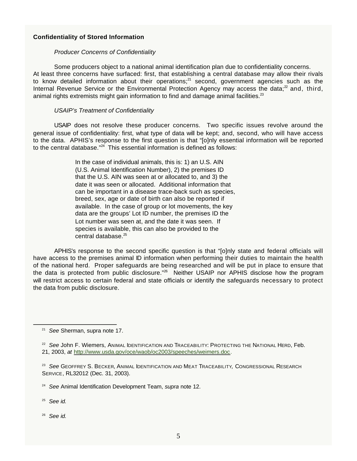#### **Confidentiality of Stored Information**

#### *Producer Concerns of Confidentiality*

Some producers object to a national animal identification plan due to confidentiality concerns. At least three concerns have surfaced: first, that establishing a central database may allow their rivals to know detailed information about their operations; $^{21}$  second, government agencies such as the Internal Revenue Service or the Environmental Protection Agency may access the data; $^{22}$  and, third, animal rights extremists might gain information to find and damage animal facilities. $23$ 

#### *USAIP's Treatment of Confidentiality*

USAIP does not resolve these producer concerns. Two specific issues revolve around the general issue of confidentiality: first, what type of data will be kept; and, second, who will have access to the data. APHIS's response to the first question is that "[o]nly essential information will be reported to the central database."<sup>24</sup> This essential information is defined as follows:

> In the case of individual animals, this is: 1) an U.S. AIN (U.S. Animal Identification Number), 2) the premises ID that the U.S. AIN was seen at or allocated to, and 3) the date it was seen or allocated. Additional information that can be important in a disease trace-back such as species, breed, sex, age or date of birth can also be reported if available. In the case of group or lot movements, the key data are the groups' Lot ID number, the premises ID the Lot number was seen at, and the date it was seen. If species is available, this can also be provided to the central database.<sup>25</sup>

APHIS's response to the second specific question is that "[o]nly state and federal officials will have access to the premises animal ID information when performing their duties to maintain the health of the national herd. Proper safeguards are being researched and will be put in place to ensure that the data is protected from public disclosure."<sup>26</sup> Neither USAIP nor APHIS disclose how the program will restrict access to certain federal and state officials or identify the safeguards necessary to protect the data from public disclosure.

<sup>25</sup>*See id.* 

<sup>26</sup>*See id.* 

<sup>21</sup>*See* Sherman, supra note 17.

<sup>&</sup>lt;sup>22</sup> See John F. Wiemers, ANIMAL IDENTIFICATION AND TRACEABILITY: PROTECTING THE NATIONAL HERD, Feb. 21, 2003, *at* [http://www.usda.gov/oce/waob/oc2003/speeches/weimers.doc.](http://www.usda.gov/oce/waob/oc2003/speeches/weimers.doc) 

<sup>23</sup>*See* GEOFFREY S. BECKER, ANIMAL IDENTIFICATION AND MEAT TRACEABILITY*,* CONGRESSIONAL RESEARCH SERVICE, RL32012 (Dec. 31, 2003).

<sup>24</sup>*See* Animal Identification Development Team, *supra* note 12.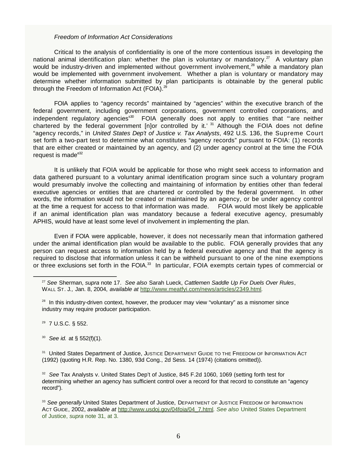#### *Freedom of Information Act Considerations*

Critical to the analysis of confidentiality is one of the more contentious issues in developing the national animal identification plan: whether the plan is voluntary or mandatory.<sup>27</sup> A voluntary plan would be industry-driven and implemented without government involvement, $^{28}$  while a mandatory plan would be implemented with government involvement. Whether a plan is voluntary or mandatory may determine whether information submitted by plan participants is obtainable by the general public through the Freedom of Information Act (FOIA). $^{29}$ 

FOIA applies to "agency records" maintained by "agencies" within the executive branch of the federal government, including government corporations, government controlled corporations, and independent regulatory agencies<sup>s30</sup> FOIA generally does not apply to entities that "are neither chartered by the federal government [n]or controlled by it.'  $31$  Although the FOIA does not define "agency records," in *United States Dep't of Justice v. Tax Analysts*, 492 U.S. 136, the Supreme Court set forth a two-part test to determine what constitutes "agency records" pursuant to FOIA: (1) records that are either created or maintained by an agency, and (2) under agency control at the time the FOIA request is made $e^{32}$ 

It is unlikely that FOIA would be applicable for those who might seek access to information and data gathered pursuant to a voluntary animal identification program since such a voluntary program would presumably involve the collecting and maintaining of information by entities other than federal executive agencies or entities that are chartered or controlled by the federal government. In other words, the information would not be created or maintained by an agency, or be under agency control at the time a request for access to that information was made. FOIA would most likely be applicable if an animal identification plan was mandatory because a federal executive agency, presumably APHIS, would have at least some level of involvement in implementing the plan.

Even if FOIA were applicable, however, it does not necessarily mean that information gathered under the animal identification plan would be available to the public. FOIA generally provides that any person can request access to information held by a federal executive agency and that the agency is required to disclose that information unless it can be withheld pursuant to one of the nine exemptions or three exclusions set forth in the FOIA.<sup>33</sup> In particular, FOIA exempts certain types of commercial or

- 29 7 U.S.C. § 552.
- <sup>30</sup>*See id.* at § 552(f)(1).

<sup>31</sup> United States Department of Justice, JUSTICE DEPARTMENT GUIDE TO THE FREEDOM OF INFORMATION ACT (1992) (quoting H.R. Rep. No. 1380, 93d Cong., 2d Sess. 14 (1974) (citations omitted)).

<sup>32</sup>*See* Tax Analysts v. United States Dep't of Justice, 845 F.2d 1060, 1069 (setting forth test for determining whether an agency has sufficient control over a record for that record to constitute an "agency record").

<sup>33</sup> See generally United States Department of Justice, DEPARTMENT OF JUSTICE FREEDOM OF INFORMATION ACT GUIDE, 2002, *available at* [http://www.usdoj.gov/04foia/04\\_7.html](http://www.usdoj.gov/04foia/04_7.html)*. See also* United States Department of Justice, *supra* note 31, at 3.

<sup>27</sup> *See* Sherman, *supra* note 17. *See also* Sarah Lueck, *Cattlemen Saddle Up For Duels Over Rules*, WALL ST. J*.,* Jan. 8, 2004, *available at* <http://www.meatfyi.com/news/articles/2349.html>*.* 

 $28$  In this industry-driven context, however, the producer may view "voluntary" as a misnomer since industry may require producer participation.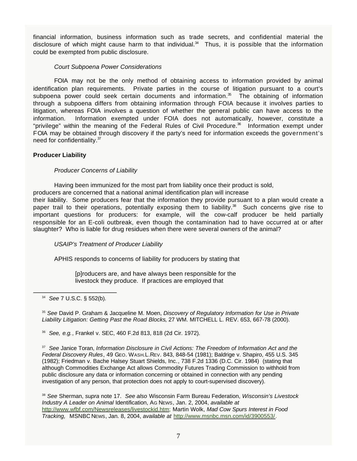financial information, business information such as trade secrets, and confidential material the disclosure of which might cause harm to that individual.<sup>34</sup> Thus, it is possible that the information could be exempted from public disclosure.

#### *Court Subpoena Power Considerations*

FOIA may not be the only method of obtaining access to information provided by animal identification plan requirements. Private parties in the course of litigation pursuant to a court's subpoena power could seek certain documents and information.<sup>35</sup> The obtaining of information through a subpoena differs from obtaining information through FOIA because it involves parties to litigation, whereas FOIA involves a question of whether the general public can have access to the information. Information exempted under FOIA does not automatically, however, constitute a "privilege" within the meaning of the Federal Rules of Civil Procedure.<sup>36</sup> Information exempt under FOIA may be obtained through discovery if the party's need for information exceeds the government's need for confidentiality.<sup>37</sup>

#### **Producer Liability**

*Producer Concerns of Liability* 

Having been immunized for the most part from liability once their product is sold,

producers are concerned that a national animal identification plan will increase

their liability. Some producers fear that the information they provide pursuant to a plan would create a paper trail to their operations, potentially exposing them to liability.<sup>38</sup> Such concerns give rise to important questions for producers: for example, will the cow-calf producer be held partially responsible for an E-coli outbreak, even though the contamination had to have occurred at or after slaughter? Who is liable for drug residues when there were several owners of the animal?

#### *USAIP's Treatment of Producer Liability*

APHIS responds to concerns of liability for producers by stating that

[p]roducers are, and have always been responsible for the livestock they produce. If practices are employed that

<sup>35</sup>*See* David P. Graham & Jacqueline M. Moen, *Discovery of Regulatory Information for Use in Private Liability Litigation: Getting Past the Road Blocks*, 27 WM. MITCHELL L. REV. 653, 667-78 (2000).

<sup>36</sup>*See, e.g.*, Frankel v. SEC, 460 F.2d 813, 818 (2d Cir. 1972).

<sup>37</sup>*See* Janice Toran, *Information Disclosure in Civil Actions: The Freedom of Information Act and the Federal Discovery Rules*, 49 GEO. WASH.L.REV. 843, 848-54 (1981); Baldrige v. Shapiro, 455 U.S. 345 (1982); Friedman v. Bache Halsey Stuart Shields, Inc*.*, 738 F.2d 1336 (D.C. Cir. 1984) (stating that although Commodities Exchange Act allows Commodity Futures Trading Commission to withhold from public disclosure any data or information concerning or obtained in connection with any pending investigation of any person, that protection does not apply to court-supervised discovery).

<sup>38</sup>*See* Sherman, *supra* note 17. *See also* Wisconsin Farm Bureau Federation, *Wisconsin's Livestock Industry A Leader on Animal* Identification, AG NEWS, Jan. 2, 2004, *available at*  [http://www.wfbf.com/Newsreleases/livestockid.htm;](http://www.wfbf.com/Newsreleases/livestockid.htm) Martin Wolk, *Mad Cow Spurs Interest in Food Tracking,* MSNBC NEWS, Jan. 8, 2004, *available at* [http://www.msnbc.msn.com/id/3900553/.](http://www.msnbc.msn.com/id/3900553/)

<sup>34</sup>*See* 7 U.S.C. § 552(b).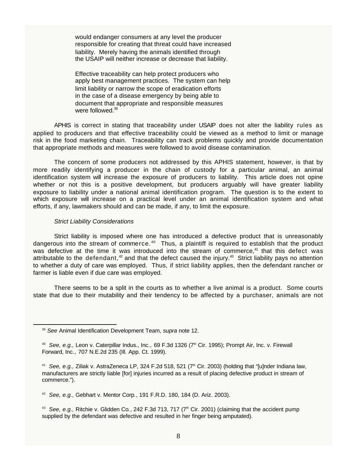would endanger consumers at any level the producer responsible for creating that threat could have increased liability. Merely having the animals identified through the USAIP will neither increase or decrease that liability.

Effective traceability can help protect producers who apply best management practices. The system can help limit liability or narrow the scope of eradication efforts in the case of a disease emergency by being able to document that appropriate and responsible measures were followed.<sup>39</sup>

APHIS is correct in stating that traceability under USAIP does not alter the liability rules as applied to producers and that effective traceability could be viewed as a method to limit or manage risk in the food marketing chain. Traceability can track problems quickly and provide documentation that appropriate methods and measures were followed to avoid disease contamination.

The concern of some producers not addressed by this APHIS statement, however, is that by more readily identifying a producer in the chain of custody for a particular animal, an animal identification system will increase the exposure of producers to liability. This article does not opine whether or not this is a positive development, but producers arguably will have greater liability exposure to liability under a national animal identification program. The question is to the extent to which exposure will increase on a practical level under an animal identification system and what efforts, if any, lawmakers should and can be made, if any, to limit the exposure.

#### *Strict Liability Considerations*

Strict liability is imposed where one has introduced a defective product that is unreasonably dangerous into the stream of commerce.<sup>40</sup> Thus, a plaintiff is required to establish that the product was defective at the time it was introduced into the stream of commerce,<sup>41</sup> that this defect was attributable to the defendant, $42$  and that the defect caused the injury. $43$  Strict liability pays no attention to whether a duty of care was employed. Thus, if strict liability applies, then the defendant rancher or farmer is liable even if due care was employed.

There seems to be a split in the courts as to whether a live animal is a product. Some courts state that due to their mutability and their tendency to be affected by a purchaser, animals are not

<sup>43</sup> See, e.g., Ritchie v. Glidden Co., 242 F.3d 713, 717 (7<sup>th</sup> Cir. 2001) (claiming that the accident pump supplied by the defendant was defective and resulted in her finger being amputated).

<sup>39</sup>*See* Animal Identification Development Team, *supra* note 12.

<sup>&</sup>lt;sup>40</sup> See, e.g., Leon v. Caterpillar Indus., Inc., 69 F.3d 1326 (7<sup>th</sup> Cir. 1995); Prompt Air, Inc. v. Firewall Forward, Inc*.,* 707 N.E.2d 235 (Ill. App. Ct. 1999).

<sup>&</sup>lt;sup>41</sup> See, e.g., Ziliak v. AstraZeneca LP, 324 F.2d 518, 521 (7<sup>th</sup> Cir. 2003) (holding that "[u]nder Indiana law, manufacturers are strictly liable [for] injuries incurred as a result of placing defective product in stream of commerce.").

<sup>42</sup>*See, e.g.,* Gebhart v. Mentor Corp*.*, 191 F.R.D. 180, 184 (D. Ariz. 2003).